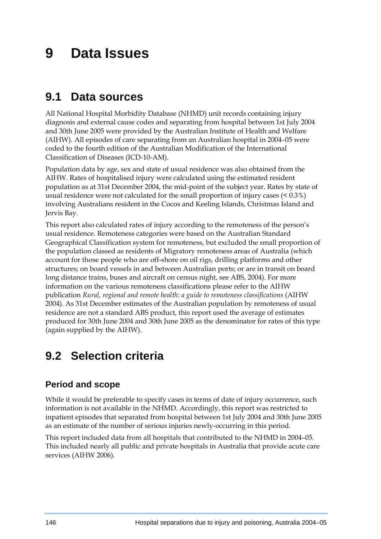# **9 Data Issues**

### **9.1 Data sources**

All National Hospital Morbidity Database (NHMD) unit records containing injury diagnosis and external cause codes and separating from hospital between 1st July 2004 and 30th June 2005 were provided by the Australian Institute of Health and Welfare (AIHW). All episodes of care separating from an Australian hospital in 2004–05 were coded to the fourth edition of the Australian Modification of the International Classification of Diseases (ICD-10-AM).

Population data by age, sex and state of usual residence was also obtained from the AIHW. Rates of hospitalised injury were calculated using the estimated resident population as at 31st December 2004, the mid-point of the subject year. Rates by state of usual residence were not calculated for the small proportion of injury cases (< 0.3%) involving Australians resident in the Cocos and Keeling Islands, Christmas Island and Jervis Bay.

This report also calculated rates of injury according to the remoteness of the person's usual residence. Remoteness categories were based on the Australian Standard Geographical Classification system for remoteness, but excluded the small proportion of the population classed as residents of Migratory remoteness areas of Australia (which account for those people who are off-shore on oil rigs, drilling platforms and other structures; on board vessels in and between Australian ports; or are in transit on board long distance trains, buses and aircraft on census night, see ABS, 2004). For more information on the various remoteness classifications please refer to the AIHW publication *Rural, regional and remote health: a guide to remoteness classifications* (AIHW 2004). As 31st December estimates of the Australian population by remoteness of usual residence are not a standard ABS product, this report used the average of estimates produced for 30th June 2004 and 30th June 2005 as the denominator for rates of this type (again supplied by the AIHW).

## **9.2 Selection criteria**

### **Period and scope**

While it would be preferable to specify cases in terms of date of injury occurrence, such information is not available in the NHMD. Accordingly, this report was restricted to inpatient episodes that separated from hospital between 1st July 2004 and 30th June 2005 as an estimate of the number of serious injuries newly-occurring in this period.

This report included data from all hospitals that contributed to the NHMD in 2004–05. This included nearly all public and private hospitals in Australia that provide acute care services (AIHW 2006).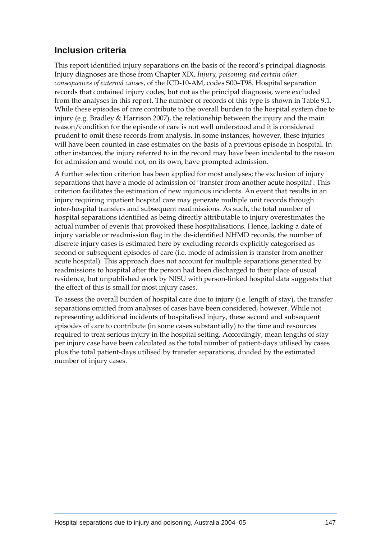### **Inclusion criteria**

This report identified injury separations on the basis of the record's principal diagnosis. Injury diagnoses are those from Chapter XIX, *Injury, poisoning and certain other consequences of external causes*, of the ICD-10-AM, codes S00–T98. Hospital separation records that contained injury codes, but not as the principal diagnosis, were excluded from the analyses in this report. The number of records of this type is shown in Table 9.1. While these episodes of care contribute to the overall burden to the hospital system due to injury (e.g. Bradley & Harrison 2007), the relationship between the injury and the main reason/condition for the episode of care is not well understood and it is considered prudent to omit these records from analysis. In some instances, however, these injuries will have been counted in case estimates on the basis of a previous episode in hospital. In other instances, the injury referred to in the record may have been incidental to the reason for admission and would not, on its own, have prompted admission.

A further selection criterion has been applied for most analyses; the exclusion of injury separations that have a mode of admission of 'transfer from another acute hospital'. This criterion facilitates the estimation of new injurious incidents. An event that results in an injury requiring inpatient hospital care may generate multiple unit records through inter-hospital transfers and subsequent readmissions. As such, the total number of hospital separations identified as being directly attributable to injury overestimates the actual number of events that provoked these hospitalisations. Hence, lacking a date of injury variable or readmission flag in the de-identified NHMD records, the number of discrete injury cases is estimated here by excluding records explicitly categorised as second or subsequent episodes of care (i.e. mode of admission is transfer from another acute hospital). This approach does not account for multiple separations generated by readmissions to hospital after the person had been discharged to their place of usual residence, but unpublished work by NISU with person-linked hospital data suggests that the effect of this is small for most injury cases.

To assess the overall burden of hospital care due to injury (i.e. length of stay), the transfer separations omitted from analyses of cases have been considered, however. While not representing additional incidents of hospitalised injury, these second and subsequent episodes of care to contribute (in some cases substantially) to the time and resources required to treat serious injury in the hospital setting. Accordingly, mean lengths of stay per injury case have been calculated as the total number of patient-days utilised by cases plus the total patient-days utilised by transfer separations, divided by the estimated number of injury cases.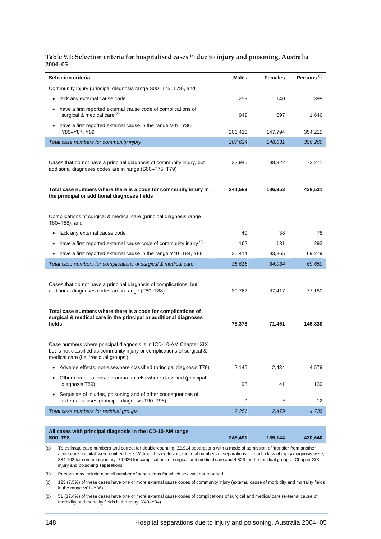#### **Table 9.1: Selection criteria for hospitalised cases (a) due to injury and poisoning, Australia 2004–05**

| Selection criteria                                                                                                                                                                      | <b>Males</b> | <b>Females</b> | Persons <sup>(b)</sup> |
|-----------------------------------------------------------------------------------------------------------------------------------------------------------------------------------------|--------------|----------------|------------------------|
| Community injury (principal diagnosis range S00-T75, T79), and                                                                                                                          |              |                |                        |
| lack any external cause code<br>$\bullet$                                                                                                                                               | 259          | 140            | 399                    |
| have a first reported external cause code of complications of<br>$\bullet$<br>surgical & medical care (c)                                                                               | 949          | 697            | 1,646                  |
| have a first reported external cause in the range V01-Y36,<br>$\bullet$<br>Y85–Y87, Y89                                                                                                 | 206,416      | 147,794        | 354,215                |
| Total case numbers for community injury                                                                                                                                                 | 207,624      | 148,631        | 356,260                |
| Cases that do not have a principal diagnosis of community injury, but<br>additional diagnoses codes are in range (S00-T75, T79)                                                         | 33,945       | 38,322         | 72,271                 |
| Total case numbers where there is a code for community injury in<br>the principal or additional diagnoses fields                                                                        | 241,569      | 186,953        | 428,531                |
| Complications of surgical & medical care (principal diagnosis range<br>T80-T88), and                                                                                                    |              |                |                        |
| lack any external cause code<br>٠                                                                                                                                                       | 40           | 38             | 78                     |
| have a first reported external cause code of community injury (d)<br>٠                                                                                                                  | 162          | 131            | 293                    |
| have a first reported external cause in the range Y40-T84, Y88<br>$\bullet$                                                                                                             | 35,414       | 33,865         | 69,279                 |
| Total case numbers for complications of surgical & medical care                                                                                                                         | 35,616       | 34,034         | 69,650                 |
| Cases that do not have a principal diagnosis of complications, but<br>additional diagnoses codes are in range (T80-T88)                                                                 | 39,762       | 37,417         | 77,180                 |
| Total case numbers where there is a code for complications of<br>surgical & medical care in the principal or additional diagnoses<br>fields                                             | 75,378       | 71,451         | 146,830                |
| Case numbers where principal diagnosis is in ICD-10-AM Chapter XIX<br>but is not classified as community injury or complications of surgical &<br>medical care (i.e. 'residual groups') |              |                |                        |
| Adverse effects, not elsewhere classified (principal diagnosis T78)                                                                                                                     | 2,145        | 2,434          | 4,579                  |
| Other complications of trauma not elsewhere classified (principal<br>diagnosis T89)                                                                                                     | 98           | 41             | 139                    |
| Sequelae of injuries, poisoning and of other consequences of<br>$\bullet$<br>external causes (principal diagnosis T90-T98)                                                              | $\star$      | $\star$        | 12                     |
| Total case numbers for residual groups                                                                                                                                                  | 2,251        | 2,479          | 4,730                  |
|                                                                                                                                                                                         |              |                |                        |

| All cases with principal diagnosis in the ICD-10-AM range<br>S00-T98 | 245.491 | 185.144 | 430.640 |
|----------------------------------------------------------------------|---------|---------|---------|
|                                                                      |         |         |         |

(a) To estimate case numbers and correct for double-counting, 32,914 separations with a mode of admission of 'transfer from another acute care hospital' were omitted here. Without this exclusion, the total numbers of separations for each class of injury diagnosis were; 384,102 for community injury, 74,626 for complications of surgical and medical care and 4,826 for the residual group of Chapter XIX injury and poisoning separations.

(b) Persons may include a small number of separations for which sex was not reported.

(c) 123 (7.5%) of these cases have one or more external cause codes of community injury (external cause of morbidity and mortality fields in the range V01–Y36).

(d) 51 (17.4%) of these cases have one or more external cause codes of complications of surgical and medical care (external cause of morbidity and mortality fields in the range Y40–Y84).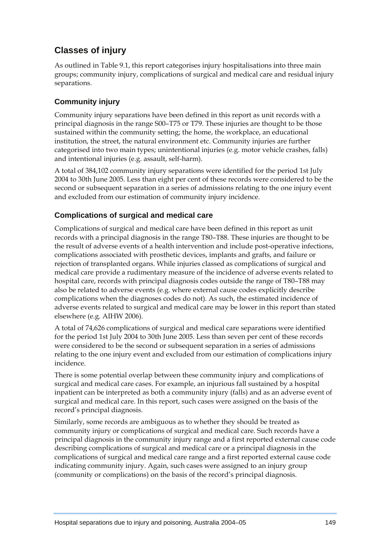### **Classes of injury**

As outlined in Table 9.1, this report categorises injury hospitalisations into three main groups; community injury, complications of surgical and medical care and residual injury separations.

#### **Community injury**

Community injury separations have been defined in this report as unit records with a principal diagnosis in the range S00–T75 or T79. These injuries are thought to be those sustained within the community setting; the home, the workplace, an educational institution, the street, the natural environment etc. Community injuries are further categorised into two main types; unintentional injuries (e.g. motor vehicle crashes, falls) and intentional injuries (e.g. assault, self-harm).

A total of 384,102 community injury separations were identified for the period 1st July 2004 to 30th June 2005. Less than eight per cent of these records were considered to be the second or subsequent separation in a series of admissions relating to the one injury event and excluded from our estimation of community injury incidence.

#### **Complications of surgical and medical care**

Complications of surgical and medical care have been defined in this report as unit records with a principal diagnosis in the range T80–T88. These injuries are thought to be the result of adverse events of a health intervention and include post-operative infections, complications associated with prosthetic devices, implants and grafts, and failure or rejection of transplanted organs. While injuries classed as complications of surgical and medical care provide a rudimentary measure of the incidence of adverse events related to hospital care, records with principal diagnosis codes outside the range of T80–T88 may also be related to adverse events (e.g. where external cause codes explicitly describe complications when the diagnoses codes do not). As such, the estimated incidence of adverse events related to surgical and medical care may be lower in this report than stated elsewhere (e.g. AIHW 2006).

A total of 74,626 complications of surgical and medical care separations were identified for the period 1st July 2004 to 30th June 2005. Less than seven per cent of these records were considered to be the second or subsequent separation in a series of admissions relating to the one injury event and excluded from our estimation of complications injury incidence.

There is some potential overlap between these community injury and complications of surgical and medical care cases. For example, an injurious fall sustained by a hospital inpatient can be interpreted as both a community injury (falls) and as an adverse event of surgical and medical care. In this report, such cases were assigned on the basis of the record's principal diagnosis.

Similarly, some records are ambiguous as to whether they should be treated as community injury or complications of surgical and medical care. Such records have a principal diagnosis in the community injury range and a first reported external cause code describing complications of surgical and medical care or a principal diagnosis in the complications of surgical and medical care range and a first reported external cause code indicating community injury. Again, such cases were assigned to an injury group (community or complications) on the basis of the record's principal diagnosis.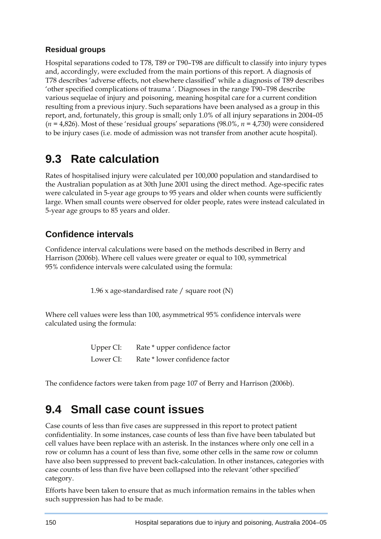### **Residual groups**

Hospital separations coded to T78, T89 or T90–T98 are difficult to classify into injury types and, accordingly, were excluded from the main portions of this report. A diagnosis of T78 describes 'adverse effects, not elsewhere classified' while a diagnosis of T89 describes 'other specified complications of trauma '. Diagnoses in the range T90–T98 describe various sequelae of injury and poisoning, meaning hospital care for a current condition resulting from a previous injury. Such separations have been analysed as a group in this report, and, fortunately, this group is small; only 1.0% of all injury separations in 2004–05 (*n =* 4,826). Most of these 'residual groups' separations (98.0%, *n =* 4,730) were considered to be injury cases (i.e. mode of admission was not transfer from another acute hospital).

## **9.3 Rate calculation**

Rates of hospitalised injury were calculated per 100,000 population and standardised to the Australian population as at 30th June 2001 using the direct method. Age-specific rates were calculated in 5-year age groups to 95 years and older when counts were sufficiently large. When small counts were observed for older people, rates were instead calculated in 5-year age groups to 85 years and older.

### **Confidence intervals**

Confidence interval calculations were based on the methods described in Berry and Harrison (2006b). Where cell values were greater or equal to 100, symmetrical 95% confidence intervals were calculated using the formula:

1.96 x age-standardised rate / square root (N)

Where cell values were less than 100, asymmetrical 95% confidence intervals were calculated using the formula:

> Upper CI: Rate \* upper confidence factor Lower CI: Rate \* lower confidence factor

The confidence factors were taken from page 107 of Berry and Harrison (2006b).

## **9.4 Small case count issues**

Case counts of less than five cases are suppressed in this report to protect patient confidentiality. In some instances, case counts of less than five have been tabulated but cell values have been replace with an asterisk. In the instances where only one cell in a row or column has a count of less than five, some other cells in the same row or column have also been suppressed to prevent back-calculation. In other instances, categories with case counts of less than five have been collapsed into the relevant 'other specified' category.

Efforts have been taken to ensure that as much information remains in the tables when such suppression has had to be made.